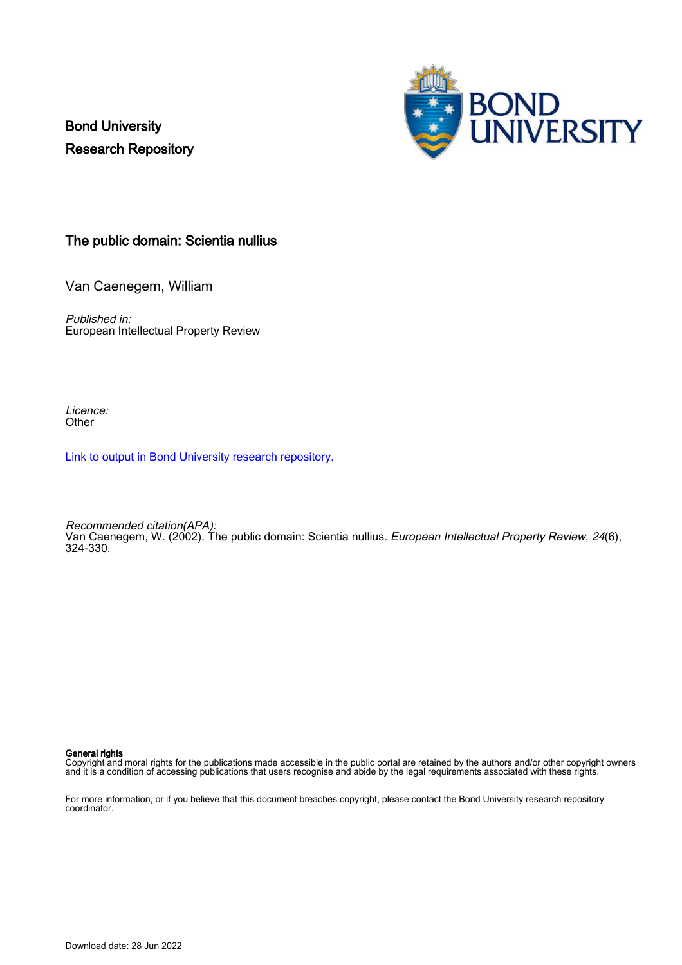Bond University Research Repository



# The public domain: Scientia nullius

Van Caenegem, William

Published in: European Intellectual Property Review

Licence: **Other** 

[Link to output in Bond University research repository.](https://research.bond.edu.au/en/publications/26ee1793-e8a6-4a51-ab01-9dd0647eb26b)

Recommended citation(APA): Van Caenegem, W. (2002). The public domain: Scientia nullius. European Intellectual Property Review, 24(6), 324-330.

General rights

Copyright and moral rights for the publications made accessible in the public portal are retained by the authors and/or other copyright owners and it is a condition of accessing publications that users recognise and abide by the legal requirements associated with these rights.

For more information, or if you believe that this document breaches copyright, please contact the Bond University research repository coordinator.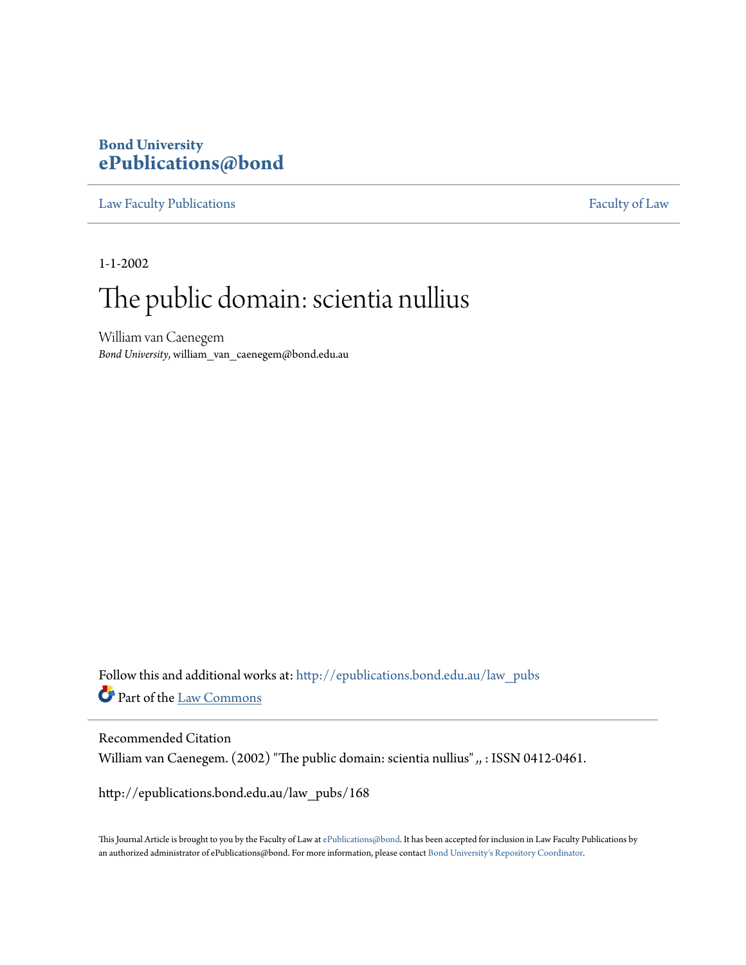# **Bond University [ePublications@bond](http://epublications.bond.edu.au?utm_source=epublications.bond.edu.au%2Flaw_pubs%2F168&utm_medium=PDF&utm_campaign=PDFCoverPages)**

[Law Faculty Publications](http://epublications.bond.edu.au/law_pubs?utm_source=epublications.bond.edu.au%2Flaw_pubs%2F168&utm_medium=PDF&utm_campaign=PDFCoverPages) [Faculty of Law](http://epublications.bond.edu.au/law?utm_source=epublications.bond.edu.au%2Flaw_pubs%2F168&utm_medium=PDF&utm_campaign=PDFCoverPages)

1-1-2002

# The public domain: scientia nullius

William van Caenegem *Bond University*, william\_van\_caenegem@bond.edu.au

Follow this and additional works at: [http://epublications.bond.edu.au/law\\_pubs](http://epublications.bond.edu.au/law_pubs?utm_source=epublications.bond.edu.au%2Flaw_pubs%2F168&utm_medium=PDF&utm_campaign=PDFCoverPages) Part of the [Law Commons](http://network.bepress.com/hgg/discipline/578?utm_source=epublications.bond.edu.au%2Flaw_pubs%2F168&utm_medium=PDF&utm_campaign=PDFCoverPages)

Recommended Citation William van Caenegem. (2002) "The public domain: scientia nullius" *,*, : ISSN 0412-0461.

http://epublications.bond.edu.au/law\_pubs/168

This Journal Article is brought to you by the Faculty of Law at [ePublications@bond](http://epublications.bond.edu.au). It has been accepted for inclusion in Law Faculty Publications by an authorized administrator of ePublications@bond. For more information, please contact [Bond University's Repository Coordinator.](mailto:acass@bond.edu.au)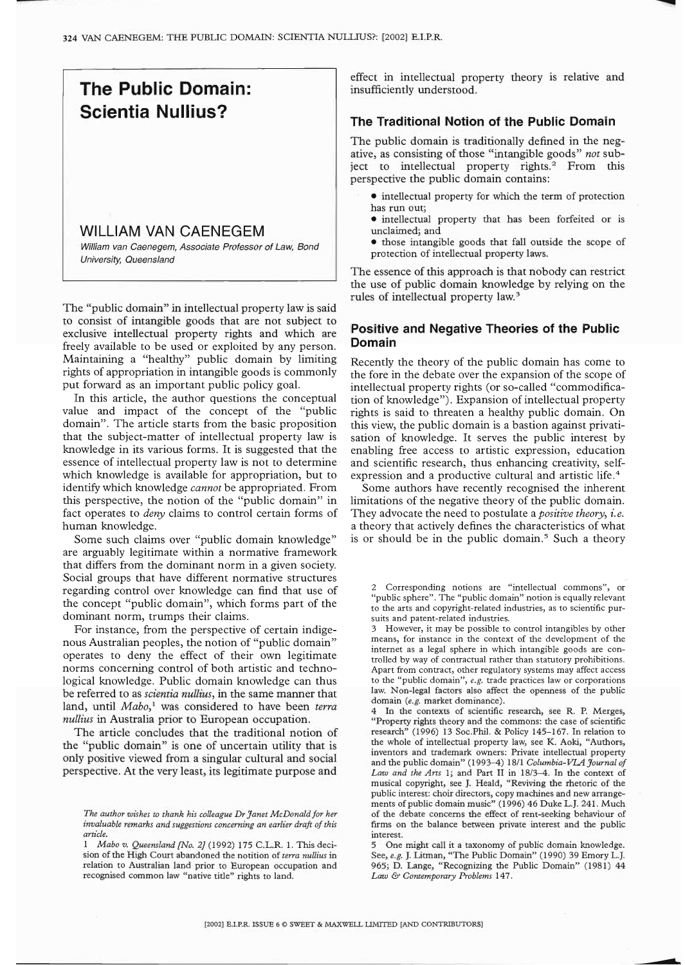

The "public domain" in intellectual property law is said to consist of intangible goods that are not subject to exclusive intellectual property rights and which are freely available to be used or exploited by any person. Maintaining a "healthy" public domain by limiting rights of appropriation in intangible goods is commonly put forward as an important public policy goal.

In this article, the author questions the conceptual value and impact of the concept of the "public domain". The article starts from the basic proposition that the subject-matter of intellectual property law is knowledge in its various forms. It is suggested that the essence of intellectual property law is not to determine which knowledge is available for appropriation, but to identify which knowledge *cannot* be appropriated. From this perspective, the notion of the "public domain" in fact operates to *deny* claims to control certain forms of human knowledge.

Some such claims over "public domain knowledge" are arguably legitimate within a normative framework that differs from the dominant norm in a given society. Social groups that have different normative structures regarding control over knowledge can find that use of the concept "public domain", which forms part of the dominant norm, trumps their claims.

For instance, from the perspective of certain indigenous Australian peoples, the notion of "public domain" operates to deny the effect of their own legitimate norms concerning control of both artistic and technological knowledge. Public domain knowledge can thus be referred to as *scientia nullius,* in the same manner that land, until *Mabo*,<sup>1</sup> was considered to have been terra *nullius* in Australia prior to European occupation.

The article concludes that the traditional notion of the "public domain" is one of uncertain utility that is only positive viewed from a singular cultural and social perspective. At the very least, its legitimate purpose and

effect in intellectual property theory is relative and insufficiently understood.

# **The Traditional Notion of the Public Domain**

The public domain is traditionally defined in the negative, as consisting of those "intangible goods" *not* subject to intellectual property rights.<sup>2</sup> From this perspective the public domain contains:

- $\bullet$  intellectual property for which the term of protection has run out;
	- ® intellectual property that has been forfeited or is unclaimed; and
- ® those intangible goods that fall outside the scope of protection of intellectual property laws.

The essence of this approach is that nobody can restrict the use of public domain knowledge by relying on the rules of intellectual property law.<sup>3</sup>

# **Positive and Negative Theories of the Public Domain**

Recently the theory of the public domain has come to the fore in the debate over the expansion of the scope of intellectual property rights (or so-called "commodification of knowledge"). Expansion of intellectual property rights is said to threaten a healthy public domain. On this view, the public domain is a bastion against privatisation of knowledge. It serves the public interest by enabling free access to artistic expression, education and scientific research, thus enhancing creativity, selfexpression and a productive cultural and artistic life.<sup>4</sup>

Some authors have recently recognised the inherent limitations of the negative theory of the public domain. They advocate the need to postulate a *positive theory, i.e.* a theory that actively defines the characteristics of what is or should be in the public domain.<sup>5</sup> Such a theory

2 Corresponding notions are "intellectual commons", or "public sphere". The "public domain" notion is equally relevant to the arts and copyright-related industries, as to scientific pursuits and patent-related industries.

3 However, it may be possible to control intangibles by other means, for instance in the context of the development of the internet as a legal sphere in which intangible goods are controlled by way of contractual rather than statutory prohibitions. Apart from contract, other regulatory systems may affect access to the "public domain", *e.g.* trade practices law or corporations law. Non-legal factors also affect the openness of the public domain *(e.g.* market dominance).

4 In the contexts of scientific research, see R. P. Merges, "Property rights theory and the commons: the case of scientific research" (1996) 13 Soc.Phil. & Policy 145-167. In relation to the whole of intellectual property law, see K. Aoki, "Authors, inventors and trademark owners: Private intellectual property and the public domain" (1993-4) 18/1 *Columbia-VIM Journal of Law and the Arts* 1; and Part II in 18/3-4. In the context of musical copyright, see J. Heald, "Reviving the rhetoric of the public interest: choir directors, copy machines and new arrangements of public domain music" (1996) 46 Duke L.J. 241. Much of the debate concerns the effect of rent-seeking behaviour of firms on the balance between private interest and the public interest.

5 One might call it a taxonomy of public domain knowledge. See, e.g. J. Litman, "The Public Domain" (1990) 39 Emory L.J. 965; D. Lange, "Recognizing the Public Domain" (1981) 44 *Law & Contemporary Problems* 147.

*The author wishes to thank his colleague Dr Janet McDonald for her invaluable remarks and suggestions concerning an earlier draft of this article.*

*<sup>1</sup> Mabo v. Queensland[No. 2]* (1992) 175 C.L.R. 1. This decision of the High Court abandoned the notition of *terra nullius* in relation to Australian land prior to European occupation and recognised common law "native title" rights to land.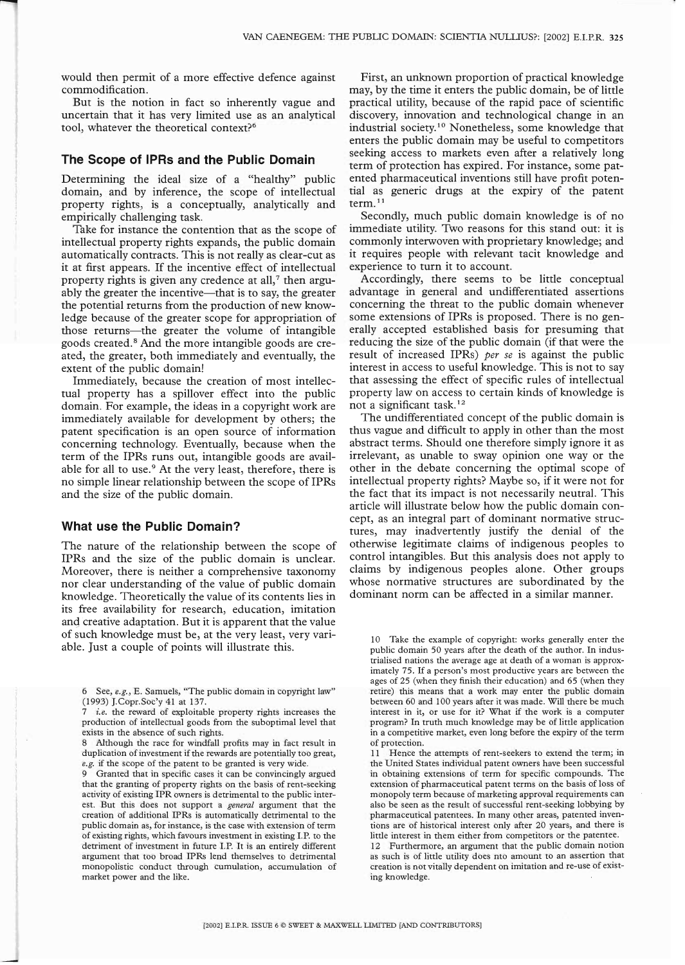would then permit of a more effective defence against commodification.

But is the notion in fact so inherently vague and uncertain that it has very limited use as an analytical tool, whatever the theoretical context?6

# **The Scope of IPRs and the Public Domain**

Determining the ideal size of a "healthy" public domain, and by inference, the scope of intellectual property rights, is a conceptually, analytically and empirically challenging task.

Take for instance the contention that as the scope of intellectual property rights expands, the public domain automatically contracts. This is not really as clear-cut as it at first appears. If the incentive effect of intellectual property rights is given any credence at all, $<sup>7</sup>$  then argu-</sup> ably the greater the incentive—that is to say, the greater the potential returns from the production of new knowledge because of the greater scope for appropriation of those returns--the greater the volume of intangible goods created.<sup>8</sup> And the more intangible goods are created, the greater, both immediately and eventually, the extent of the public domain!

Immediately, because the creation of most intellectual property has a spillover effect into the public domain. For example, the ideas in a copyright work are immediately available for development by others; the patent specification is an open source of information concerning technology. Eventually, because when the term of the IPRs runs out, intangible goods are available for all to use.<sup>9</sup> At the very least, therefore, there is no simple linear relationship between the scope of IPRs and the size of the public domain.

#### **What use the Public Domain?**

The nature of the relationship between the scope of IPRs and the size of the public domain is unclear. Moreover, there is neither a comprehensive taxonomy nor clear understanding of the value of public domain knowledge. Theoretically the value of its contents lies in its free availability for research, education, imitation and creative adaptation. But it is apparent that the value of such knowledge must be, at the very least, very variable. Just a couple of points will illustrate this.

6 See, *e.g.,* E. Samuels, "The public domain in copyright law" (1993) J.Copr.Soc'y 41 at 137.

*i.e.* the reward of exploitable property rights increases the production of intellectual goods from the suboptimal level that exists in the absence of such rights.

8 Although the race for windfall profits may in fact result in duplication of investment if the rewards are potentially too great, *e.g.* if the scope of the patent to be granted is very wide.

Granted that in specific cases it can be convincingly argued that the granting of property rights on the basis of rent-seeking activity of existing IPR owners is detrimental to the public interest. But this does not support a *general* argument that the creation of additional IPRs is automatically detrimental to the public domain as, for instance, is the case with extension of term of existing rights, which favours investment in existing I.P. to the detriment of investment in future I.P. It is an entirely different argument that too broad IPRs lend themselves to detrimental monopolistic conduct through cumulation, accumulation of market power and the like.

First, an unknown proportion of practical knowledge may, by the time it enters the public domain, be of little practical utility, because of the rapid pace of scientific discovery, innovation and technological change in an industrial society.<sup>10</sup> Nonetheless, some knowledge that enters the public domain may be useful to competitors seeking access to markets even after a relatively long term of protection has expired. For instance, some patented pharmaceutical inventions still have profit potential as generic drugs at the expiry of the patent term. $11$ 

Secondly, much public domain knowledge is of no immediate utility. Two reasons for this stand out: it is commonly interwoven with proprietary knowledge; and it requires people with relevant tacit knowledge and experience to turn it to account.

Accordingly, there seems to be little conceptual advantage in general and undifferentiated assertions concerning the threat to the public domain whenever some extensions of IPRs is proposed. There is no generally accepted established basis for presuming that reducing the size of the public domain (if that were the result of increased IPRs) *per se* is against the public interest in access to useful knowledge. This is not to say that assessing the effect of specific rules of intellectual property law on access to certain kinds of knowledge is not a significant task.12

The undifferentiated concept of the public domain is thus vague and difficult to apply in other than the most abstract terms. Should one therefore simply ignore it as irrelevant, as unable to sway opinion one way or the other in the debate concerning the optimal scope of intellectual property rights? Maybe so, if it were not for the fact that its impact is not necessarily neutral. This article will illustrate below how the public domain concept, as an integral part of dominant normative structures, may inadvertently justify the denial of the otherwise legitimate claims of indigenous peoples to control intangibles. But this analysis does not apply to claims by indigenous peoples alone. Other groups whose normative structures are subordinated by the dominant norm can be affected in a similar manner.

10 Take the example of copyright: works generally enter the public domain 50 years after the death of the author. In industrialised nations the average age at death of a woman is approximately 75. If a person's most productive years are between the ages of 25 (when they finish their education) and 65 (when they retire) this means that a work may enter the public domain between 60 and 100 years after it was made. Will there be much interest in it, or use for it? What if the work is a computer program? In truth much knowledge may be of little application in a competitive market, even long before the expiry of the term of protection.

11 Hence the attempts of rent-seekers to extend the term; in the United States individual patent owners have been successful in obtaining extensions of term for specific compounds. The extension of pharmaceutical patent terms on the basis of loss of monopoly term because of marketing approval requirements can also be seen as the result of successful rent-seeking lobbying by pharmaceutical patentees. In many other areas, patented inventions are of historical interest only after 20 years, and there is little interest in them either from competitors or the patentee.

12 Furthermore, an argument that the public domain notion as such is of little utility does nto amount to an assertion that creation is not vitally dependent on imitation and re-use of existing knowledge.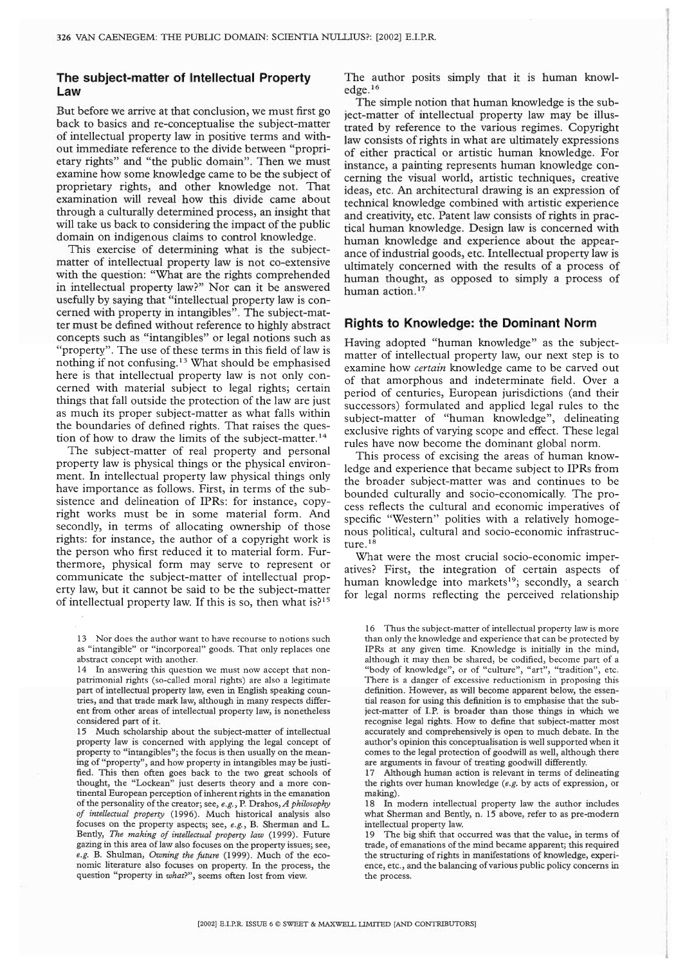# **The subject=matter of Intellectual Property Law**

But before we arrive at that conclusion, we must first go back to basics and re-conceptualise the subject-matter of intellectual property law in positive terms and without immediate reference to the divide between "proprietary rights" and "the public domain". Then we must examine how some knowledge came to be the subject of proprietary rights, and other knowledge not. That examination will reveal how this divide came about through a culturally determined process, an insight that will take us back to considering the impact of the public domain on indigenous claims to control knowledge.

This exercise of determining what is the subjectmatter of intellectual property law is not co-extensive with the question: "What are the rights comprehended in intellectual property law?" Nor can it be answered usefully by saying that "intellectual property law is concerned with property in intangibles". The subject-matter must be defined without reference to highly abstract concepts such as "intangibles" or legal notions such as "property". The use of these terms in this field of law is nothing if not confusing. 13 What should be emphasised here is that intellectual property law is not only concerned with material subject to legal rights; certain things that fall outside the protection of the law are just as much its proper subject-matter as what falls within the boundaries of defined rights. That raises the question of how to draw the limits of the subject-matter.<sup>14</sup>

The subject-matter of real property and personal property law is physical things or the physical environment. In intellectual property law physical things only have importance as follows. First, in terms of the subsistence and delineation of IPRs: for instance, copyright works must be in some material form. And secondly, in terms of allocating ownership of those rights: for instance, the author of a copyright work is the person who first reduced it to material form. Furthermore, physical form may serve to represent or communicate the subject-matter of intellectual property law, but it cannot be said to be the subject-matter of intellectual property law. If this is so, then what is? $15$  The author posits simply that it is human knowledge.16

The simple notion that human knowledge is the subject-matter of intellectual property law may be illustrated by reference to the various regimes. Copyright law consists of rights in what are ultimately expressions of either practical or artistic human knowledge. For instance, a painting represents human knowledge concerning the visual world, artistic techniques, creative ideas, etc. An architectural drawing is an expression of technical knowledge combined with artistic experience and creativity, etc. Patent law consists of rights in practical human knowledge. Design law is concerned with human knowledge and experience about the appearance of industrial goods, etc. Intellectual property law is ultimately concerned with the results of a process of human thought, as opposed to simply a process of human action.<sup>17</sup>

# **Rights to Knowledge: the Dominant Norm**

Having adopted "human knowledge" as the subjectmatter of intellectual property law, our next step is to examine how *certain* knowledge came to be carved out of that amorphous and indeterminate field. Over a period of centuries, European jurisdictions (and their successors) formulated and applied legal rules to the subject-matter of "human knowledge", delineating exclusive rights of varying scope and effect. These legal rules have now become the dominant global norm.

This process of excising the areas of human knowledge and experience that became subject to IPRs from the broader subject-matter was and continues to be bounded culturally and socio-economically. The process reflects the cultural and economic imperatives of specific "Western" polities with a relatively homogenous political, cultural and socio-economic infrastructure.<sup>18</sup>

What were the most crucial socio-economic imperatives? First, the integration of certain aspects of human knowledge into markets<sup>19</sup>; secondly, a search for legal norms reflecting the perceived relationship

<sup>13</sup> Nor does the author want to have recourse to notions such as "intangible" or "incorporeal" goods. That only replaces one abstract concept with another.

<sup>14</sup> In answering this question we must now accept that nonpatrimonial rights (so-called moral rights) are also a legitimate part of intellectual property law, even in English speaking countries, and that trade mark law, although in many respects different from other areas of intellectual property law, is nonetheless considered part of it.

<sup>15</sup> Much scholarship about the subject-matter of intellectual property law is concerned with applying the legal concept of property to "intangibles"; the focus is then usually on the meaning of "property", and how property in intangibles may be justified. This then often goes back to the two great schools of thought, the "Lockean" just deserts theory and a more continental European perception of inherent rights in the emanation of the personality of the creator; see, e.g., R Drahos, *A philosophy of intellectual property* (1996). Much historical analysis also focuses on the property aspects; see, *e.g.,* B. Sherman and L. Bently, The *making of intellectual property law* (1999). Future gazing in this area of law also focuses on the property issues; see, *e.g.B.* Shulman, *Owning the future* (1999). Much of the economic literature also focuses on property. In the process, the question "property in *what?",* seems often lost from view.

<sup>16</sup> Thus the subject-matter of intellectual property law is more than only the knowledge and experience that can be protected by IPRs at any given time. Knowledge is initially in the mind, although it may then be shared, be codified, become part of a "body of knowledge", or of "culture", "art", "tradition", etc. There is a danger of excessive reductionism in proposing this definition. However, as will become apparent below, the essential reason for using this defmition is to emphasise that the subject-matter of I.R is broader than those things in which we recognise legal rights. How to define that subject-matter most accurately and comprehensively is open to much debate. In the author's opinion this conceptualisation is well supported when it comes to the legal protection of goodwill as well, although there are arguments in favour of treating goodwill differently.

<sup>17</sup> Although human action is relevant in terms of delineating the rights over human knowledge *(e.g.* by acts of expression, or making).

<sup>18</sup> In modern intellectual property law the author includes what Sherman and Bently, n. 15 above, refer to as pre-modern intellectual property law.

<sup>19</sup> The big shift that occurred was that the value, in terms of trade, of emanations of the mind became apparent; this required the structuring of rights in manifestations of knowledge, experience, etc., and the balancing of various public policy concerns in the process.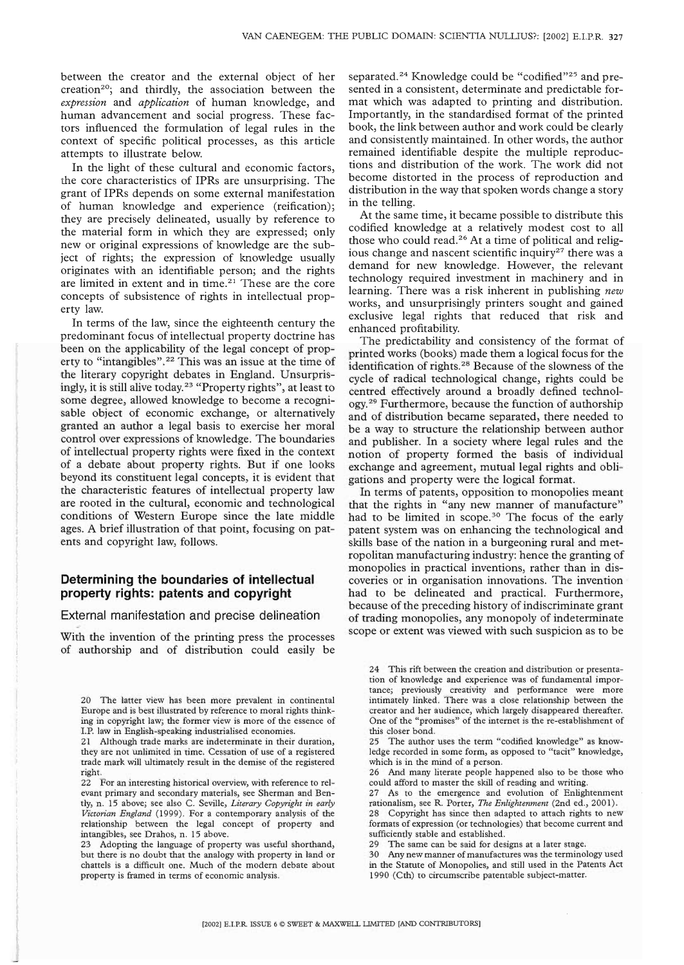between the creator and the external object of her creation<sup>20</sup>; and thirdly, the association between the *expression* and *application* of human knowledge, and human advancement and social progress. These factors influenced the formulation of legal rules in the context of specific political processes, as this article attempts to illustrate below.

In the light of these cultural and economic factors, the core characteristics of IPRs are unsurprising. The grant of IPRs depends on some external manifestation of human knowledge and experience (reification); they are precisely delineated, usually by reference to the material form in which they are expressed; only new or original expressions of knowledge are the subject of rights; the expression of knowledge usually originates with an identifiable person; and the rights are limited in extent and in time.<sup>21</sup> These are the core concepts of subsistence of rights in intellectual property law.

In terms of the law, since the eighteenth century the predominant focus of intellectual property doctrine has been on the applicability of the legal concept of property to "intangibles".<sup>22</sup> This was an issue at the time of the literary copyright debates in England. Unsurprisingly, it is still alive today.23 "Property rights", at least to some degree, allowed knowledge to become a recognisable object of economic exchange, or alternatively granted an author a legal basis to exercise her moral control over expressions of knowledge. The boundaries of intellectual property rights were fixed in the context of a debate about property rights. But if one looks beyond its constituent legal concepts, it is evident that the characteristic features of intellectual property law are rooted in the cultural, economic and technological conditions of Western Europe since the late middle ages. A brief illustration of that point, focusing on patents and copyright law, follows.

# **Determining the boundaries of intellectual property rights: patents and copyright**

#### External manifestation and precise delineation

With the invention of the printing press the processes of authorship and of distribution could easily be separated.<sup>24</sup> Knowledge could be "codified"<sup>25</sup> and presented in a consistent, determinate and predictable format which was adapted to printing and distribution. Importantly, in the standardised format of the printed book, the link between author and work could be clearly and consistently maintained. In other words, the author remained identifiable despite the multiple reproductions and distribution of the work. The work did not become distorted in the process of reproduction and distribution in the way that spoken words change a story in the telling.

At the same time, it became possible to distribute this codified knowledge at a relatively modest cost to all those who could read.<sup>26</sup> At a time of political and religious change and nascent scientific inquiry<sup>27</sup> there was a demand for new knowledge. However, the relevant technology required investment in machinery and in learning. There was a risk inherent in publishing *new* works, and unsurprisingly printers sought and gained exclusive legal rights that reduced that risk and enhanced profitability.

The predictability and consistency of the format of printed works (books) made them a logical focus for the identification of rights.<sup>28</sup> Because of the slowness of the cycle of radical technological change, rights could be centred effectively around a broadly defined technology.29 Furthermore, because the function of authorship and of distribution became separated, there needed to be a way to structure the relationship between author and publisher. In a society where legal rules and the notion of property formed the basis of individual exchange and agreement, mutual legal rights and obligations and property were the logical format.

In terms of patents, opposition to monopolies meant that the rights in "any new manner of manufacture" had to be limited in scope.<sup>30</sup> The focus of the early patent system was on enhancing the technological and skills base of the nation in a burgeoning rural and metropolitan manufacturing industry: hence the granting of monopolies in practical inventions, rather than in discoveries or in organisation innovations. The invention had to be delineated and practical. Furthermore, because of the preceding history of indiscriminate grant of trading monopolies, any monopoly of indeterminate scope or extent was viewed with such suspicion as to be

26 And many literate people happened also to be those who could afford to master the skill of reading and writing.

27 As to the emergence and evolution of Enlightenment rationalism, see R. Porter, *The Enlightenment* (2nd ed., 2001).

28 Copyright has since then adapted to attach rights to new formats of expression (or technologies) that become current and sufficiently stable and established.

29 The same can be said for designs at a later stage.

30 Any new manner of manufactures was the terminology used in the Statute of Monopolies, and still used in the Patents Act 1990 (Cth) to circumscribe patentable subject-matter.

<sup>20</sup> The latter view has been more prevalent in continental Europe and is best illustrated by reference to moral rights thinking in copyright law; the former view is more of the essence of I.P. law in English-speaking industrialised economies.

<sup>21</sup> Although trade marks are indeterminate in their duration, they are not unlimited in time. Cessation of use of a registered trade mark will ultimately result in the demise of the registered right.

<sup>22</sup> For an interesting historical overview, with reference to relevant primary and secondary materials, see Sherman and Bently, n. 15 above; see also C. Seville, *Literary Copyright in early Victorian England* (1999). For a contemporary analysis of the relationship between the legal concept of property and intangibles, see Drahos, n. 15 above.

<sup>23</sup> Adopting the language of property was useful shorthand, but there is no doubt that the analogy with property in land or chattels is a difficult one. Much of the modern debate about property is framed in terms of economic analysis.

<sup>24</sup> This rift between the creation and distribution or presentation of knowledge and experience was of fundamental importance; previously creativity and performance were more intimately linked. There was a close relationship between the creator and her audience, which largely disappeared thereafter. One of the "promises" of the internet is the re-establishment of this closer bond.

<sup>25</sup> The author uses the term "codified knowledge" as knowledge recorded in some form, as opposed to "tacit" knowledge, which is in the mind of a person.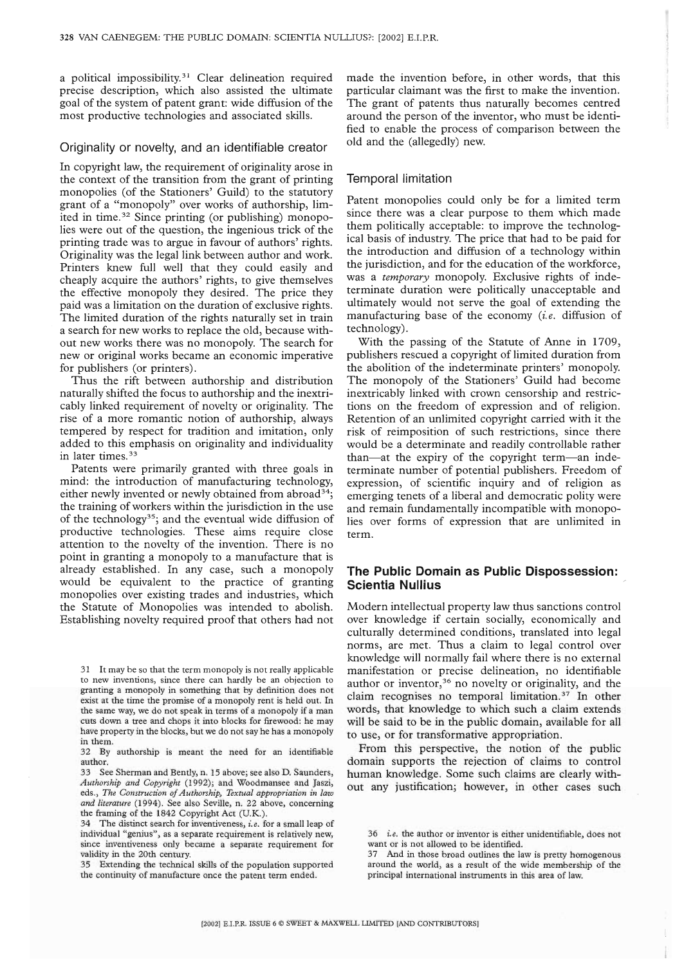a political impossibility.<sup>31</sup> Clear delineation required precise description, which also assisted the ultimate goal of the system of patent grant: wide diffusion of the most productive technologies and associated skills.

#### Originality or novelty, and an identifiable creator

In copyright law, the requirement of originality arose in the context of the transition from the grant of printing monopolies (of the Stationers' Guild) to the statutory grant of a "monopoly" over works of authorship, limited in time.<sup>32</sup> Since printing (or publishing) monopolies were out of the question, the ingenious trick of the printing trade was to argue in favour of authors' rights. Originality was the legal link between author and work. Printers knew full well that they could easily and cheaply acquire the authors' rights, to give themselves the effective monopoly they desired. The price they paid was a limitation on the duration of exclusive rights. The limited duration of the rights naturally set in train a search for new works to replace the old, because without new works there was no monopoly. The search for new or original works became an economic imperative for publishers (or printers).

Thus the rift between authorship and distribution naturally shifted the focus to authorship and the inextricably linked requirement of novelty or originality. The rise of a more romantic notion of authorship, always tempered by respect for tradition and imitation, only added to this emphasis on originality and individuality in later times.<sup>33</sup>

Patents were primarily granted with three goals in mind: the introduction of manufacturing technology, either newly invented or newly obtained from abroad<sup>34</sup>; the training of workers within the jurisdiction in the use of the technology<sup>35</sup>; and the eventual wide diffusion of productive technologies. These aims require close attention to the novelty of the invention. There is no point in granting a monopoly to a manufacture that is already established. In any case, such a monopoly would be equivalent to the practice of granting monopolies over existing trades and industries, which the Statute of Monopolies was intended to abolish. Establishing novelty required proof that others had not

35 Extending the technical skills of the population supported the continuity of manufacture once the patent term ended.

made the invention before, in other words, that this particular claimant was the first to make the invention. The grant of patents thus naturally becomes centred around the person of the inventor, who must be identified to enable the process of comparison between the old and the (allegedly) new.

#### Temporal limitation

Patent monopolies could only be for a limited term since there was a clear purpose to them which made them politically acceptable: to improve the technological basis of industry. The price that had to be paid for the introduction and diffusion of a technology within the jurisdiction, and for the education of the workforce, was a *temporary* monopoly. Exclusive rights of indeterminate duration were politically unacceptable and ultimately would not serve the goal of extending the manufacturing base of the economy *(i.e.* diffusion of technology).

With the passing of the Statute of Anne in 1709, publishers rescued a copyright of limited duration from the abolition of the indeterminate printers' monopoly. The monopoly of the Stationers' Guild had become inextricably linked with crown censorship and restrictions on the freedom of expression and of religion. Retention of an unlimited copyright carried with it the risk of reimposition of such restrictions, since there would be a determinate and readily controllable rather than--at the expiry of the copyright term--an indeterminate number of potential publishers. Freedom of expression, of scientific inquiry and of religion as emerging tenets of a liberal and democratic polity were and remain fundamentally incompatible with monopolies over forms of expression that are unlimited in term.

# **The Public Domain as Public Dispossession: Scientia Nullius**

Modern intellectual property law thus sanctions control over knowledge if certain socially, economically and culturally determined conditions, translated into legal norms, are met. Thus a claim to legal control over knowledge will normally fail where there is no external manifestation or precise delineation, no identifiable author or inventor,<sup>36</sup> no novelty or originality, and the claim recognises no temporal limitation.37 In other words, that knowledge to which such a claim extends will be said to be in the public domain, available for all to use, or for transformative appropriation.

From this perspective, the notion of the public domain supports the rejection of claims to control human knowledge. Some such claims are clearly without any justification; however, in other cases such

<sup>31</sup> It may be so that the term monopoly is not really applicable to new inventions, since there can hardly be an objection to granting a monopoly in something that by definition does not exist at the time the promise of a monopoly rent is held out. In the same way, we do not speak in terms of a monopoly if a man cuts down a tree and chops it into blocks for firewood: he may have property in the blocks, but we do not say he has a monopoly in them.

<sup>32</sup> By authorship is meant the need for an identifiable author.

<sup>33</sup> See Sherman and Bently, n. 15 above; see also D. Saunders, *Authorship and Copyright* (1992); and Woodmansee and Jaszi, eds., The Construction of Authorship, Textual appropriation in law *and literature* (1994). See also Seville, n. 22 above, concerning the framing of the 1842 Copyright Act (U.K.).

<sup>34</sup> The distinct search for inventiveness, i.e. for a small leap of individual "genius", as a separate requirement is relatively new, since inventiveness only became a separate requirement for validity in the 20th century.

<sup>36</sup> *i.e.* the author or inventor is either unidentifiable, does not want or is not allowed to be identified.

<sup>37</sup> And in those broad outlines the law is pretty homogenous around the world, as a result of the wide membership of the principal international instruments in this area of law.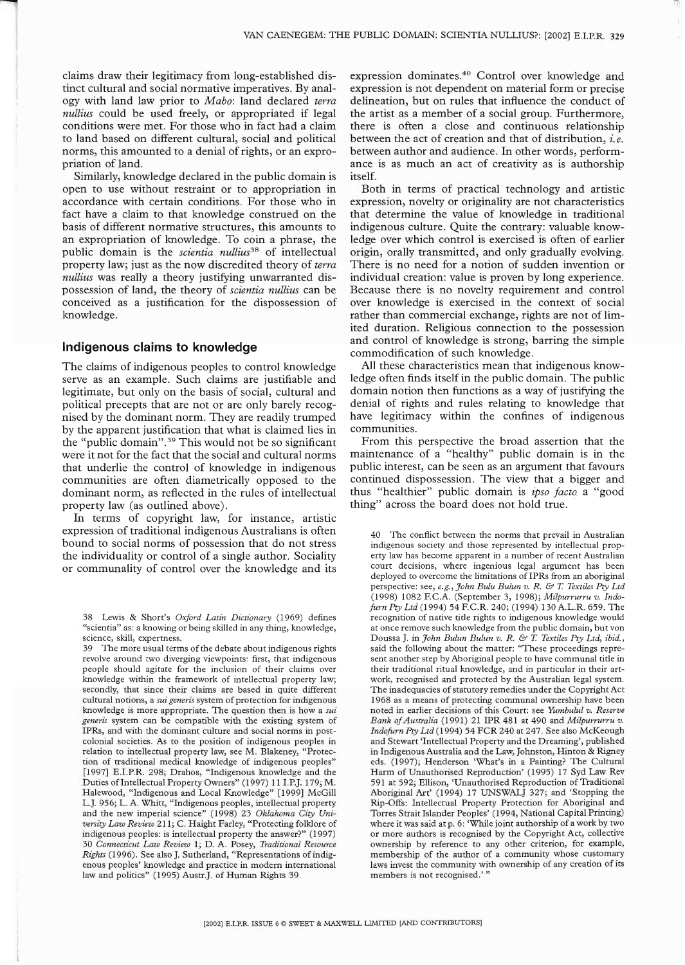claims draw their legitimacy from long-established distinct cultural and social normative imperatives. By analogy with land law prior to *A/Iabo:* land declared *terra nullius* could be used freely, or appropriated if legal conditions were met. For those who in fact had a claim to land based on different cultural, social and political norms, this amounted to a denial of rights, or an expropriation of land.

Similarly, knowledge declared in the public domain is open to use without restraint or to appropriation in accordance with certain conditions. For those who in fact have a claim to that knowledge construed on the basis of different normative structures, this amounts to an expropriation of knowledge. To coin a phrase, the public domain is the *scientia nullius*<sup>38</sup> of intellectual property law; just as the now discredited theory of *terra nullius* was really a theory justifying unwarranted dispossession of land, the theory of *scientia nullius* can be conceived as a justification for the dispossession of knowledge.

# **indigenous claims to knowledge**

The claims of indigenous peoples to control knowledge serve as an example. Such claims are justifiable and legitimate, but only on the basis of social, cultural and political precepts that are not or are only barely recognised by the dominant norm. They are readily trumped by the apparent justification that what is claimed lies in the "public domain".39 This would not be so significant were it not for the fact that the social and cultural norms that underlie the control of knowledge in indigenous communities are often diametrically opposed to the dominant norm, as reflected in the rules of intellectual property law (as outlined above).

In terms of copyright law, for instance, artistic expression of traditional indigenous Australians is often bound to social norms of possession that do not stress the individuality or control of a single author. Sociality or communality of control over the knowledge and its expression dominates.4° Control over knowledge and expression is not dependent on material form or precise delineation, but on rules that influence the conduct of the artist as a member of a social group. Furthermore, there is often a close and continuous relationship between the act of creation and that of distribution, *i.e.* between author and audience. In other words, performance is as much an act of creativity as is authorship itself.

Both in terms of practical technology and artistic expression, novelty or originality are not characteristics that determine the value of knowledge in traditional indigenous culture. Quite the contrary: valuable knowledge over which control is exercised is often of earlier origin, orally transmitted, and only gradually evolving. There is no need for a notion of sudden invention or individual creation: value is proven by long experience. Because there is no novelty requirement and control over knowledge is exercised in the context of social rather than commercial exchange, rights are not of limited duration. Religious connection to the possession and control of knowledge is strong, barring the simple commodification of such knowledge.

All these characteristics mean that indigenous knowledge often finds itself in the public domain. The public domain notion then functions as a way of justifying the denial of rights and rules relating to knowledge that have legitimacy within the confines of indigenous communities.

From this perspective the broad assertion that the maintenance of a "healthy" public domain is in the public interest, can be seen as an argument that favours continued dispossession. The view that a bigger and thus "healthier" public domain is *ipso facto* a "good thing" across the board does not hold true.

40 The conflict between the norms that prevail in Australian indigenous society and those represented by intellectual property law has become apparent in a number of recent Australian court decisions, where ingenious legal argument has been deployed to overcome the limitations of IPRs from an aboriginal perspective: see, *e.g., John Bulu Bulun v. R. & T. Textiles Pry Ltd* (1998) 1082 EC.A. (September 3, 1998); *Milpurrurru v. Indofurn Pry Ltd* (1994) 54 RC.R. 240; (1994) 130 A.L.R. 659. The recognition of native title rights to indigenous knowledge would at once remove such knowledge from the public domain, but yon Doussa J. in *John Bulun Bulun v. R. & T. Textiles Pry Ltd, ibid.,* said the following about the matter: "These proceedings represent another step by Aboriginal people to have communal title in their traditional ritual knowledge, and in particular in their artwork, recognised and protected by the Australian legal system. The inadequacies of statutory remedies under the Copyright Act 1968 as a means of protecting communal ownership have been noted in earlier decisions of this Court: see *Yumbulul v. Reserve Bank of Australia* (1991) 21 IPR 481 at 490 and *Milpurrurru v. Indofurn Pry Ltd* (1994) 54 FCR 240 at 247. See also McKeough and Stewart 'Intellectual Property and the Dreaming', published in Indigenous Australia and the Law, Johnston, Hinton & Rigney eds. (1997); Henderson 'What's in a Painting? The Cultural Harm of Unauthorised Reproduction' (1995) 17 Syd Law Rev 591 at 592; Ellison, 'Unauthorised Reproduction of Traditional Aboriginal Art' (1994) 17 UNSWALJ 327; and 'Stopping the Rip-Offs: Intellectual Property Protection for Aboriginal and Torres Strait Islander Peoples' (1994, National Capital Printing) where it was said at p. 6: 'While joint authorship of a work by two or more authors is recognised by the Copyright Act, collective ownership by reference to any other criterion, for example, membership of the author of a community whose customary laws invest the community with ownership of any creation of its members is not recognised.'"

<sup>38</sup> Lewis & Short's *Oxford Latin Dictionary* (1969) defines "scientia" as: a knowing or being skilled in any thing, knowledge, science, skill, expertness.

<sup>39</sup> The more usual terms of the debate about indigenous rights revolve around two diverging viewpoints: first, that indigenous people should agitate for the inclusion of their claims over knowledge within the framework of intellectual property law; secondly, that since their claims are based in quite different cultural notions, a *sui generis* system of protection for indigenous knowledge is more appropriate. The question then is how a *sui generis* system can be compatible with the existing system of IPRs, and with the dominant culture and social norms in postcolonial societies. As to the position of indigenous peoples in relation to intellectual property law, see M. Blakeney, "Protection of traditional medical knowledge of indigenous peoples" [1997] E.I.RR. 298; Drahos, "Indigenous knowledge and the Duties of Intellectual Property Owners" (1997) 11 I.P.J. 179; M. Halewood, "Indigenous and Local Knowledge" [1999] McGill L.J. 956; L. A. Whitt, "Indigenous peoples, intellectual property and the new imperial science" (1998) 23 *Oklahoma City University Law Review* 211; C. Haight Farley, "Protecting folklore of indigenous peoples: is intellectual property the answer?" (1997) 30 *Connecticut Law Review* 1; D. A. Posey, *Traditional Resource Rights* (1996). See also J. Sutherland, "Representations of indigenous peoples' knowledge and practice in modern international law and politics" (1995) Austr.J. of Human Rights 39.